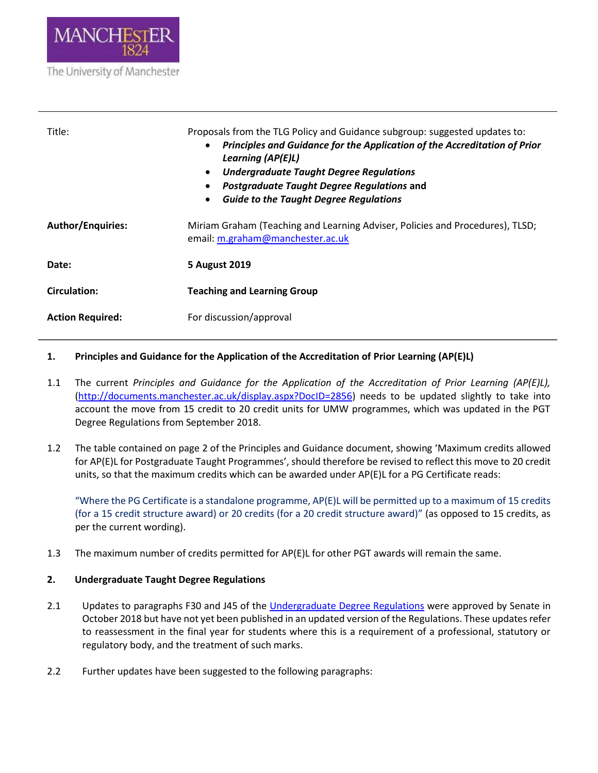

| Title:                   | Proposals from the TLG Policy and Guidance subgroup: suggested updates to:<br>Principles and Guidance for the Application of the Accreditation of Prior<br>$\bullet$<br>Learning (AP(E)L)<br><b>Undergraduate Taught Degree Regulations</b><br>$\bullet$<br>Postgraduate Taught Degree Regulations and<br>٠<br><b>Guide to the Taught Degree Regulations</b><br>$\bullet$ |
|--------------------------|---------------------------------------------------------------------------------------------------------------------------------------------------------------------------------------------------------------------------------------------------------------------------------------------------------------------------------------------------------------------------|
| <b>Author/Enquiries:</b> | Miriam Graham (Teaching and Learning Adviser, Policies and Procedures), TLSD;<br>email: m.graham@manchester.ac.uk                                                                                                                                                                                                                                                         |
| Date:                    | 5 August 2019                                                                                                                                                                                                                                                                                                                                                             |
| <b>Circulation:</b>      | <b>Teaching and Learning Group</b>                                                                                                                                                                                                                                                                                                                                        |
| <b>Action Required:</b>  | For discussion/approval                                                                                                                                                                                                                                                                                                                                                   |

### **1. Principles and Guidance for the Application of the Accreditation of Prior Learning (AP(E)L)**

- 1.1 The current *Principles and Guidance for the Application of the Accreditation of Prior Learning (AP(E)L),* [\(http://documents.manchester.ac.uk/display.aspx?DocID=2856\)](http://documents.manchester.ac.uk/display.aspx?DocID=2856) needs to be updated slightly to take into account the move from 15 credit to 20 credit units for UMW programmes, which was updated in the PGT Degree Regulations from September 2018.
- 1.2 The table contained on page 2 of the Principles and Guidance document, showing 'Maximum credits allowed for AP(E)L for Postgraduate Taught Programmes', should therefore be revised to reflect this move to 20 credit units, so that the maximum credits which can be awarded under AP(E)L for a PG Certificate reads:

"Where the PG Certificate is a standalone programme, AP(E)L will be permitted up to a maximum of 15 credits (for a 15 credit structure award) or 20 credits (for a 20 credit structure award)" (as opposed to 15 credits, as per the current wording).

1.3 The maximum number of credits permitted for AP(E)L for other PGT awards will remain the same.

# **2. Undergraduate Taught Degree Regulations**

- 2.1 Updates to paragraphs F30 and J45 of the [Undergraduate Degree Regulations](http://documents.manchester.ac.uk/display.aspx?DocID=13147) were approved by Senate in October 2018 but have not yet been published in an updated version of the Regulations. These updates refer to reassessment in the final year for students where this is a requirement of a professional, statutory or regulatory body, and the treatment of such marks.
- 2.2 Further updates have been suggested to the following paragraphs: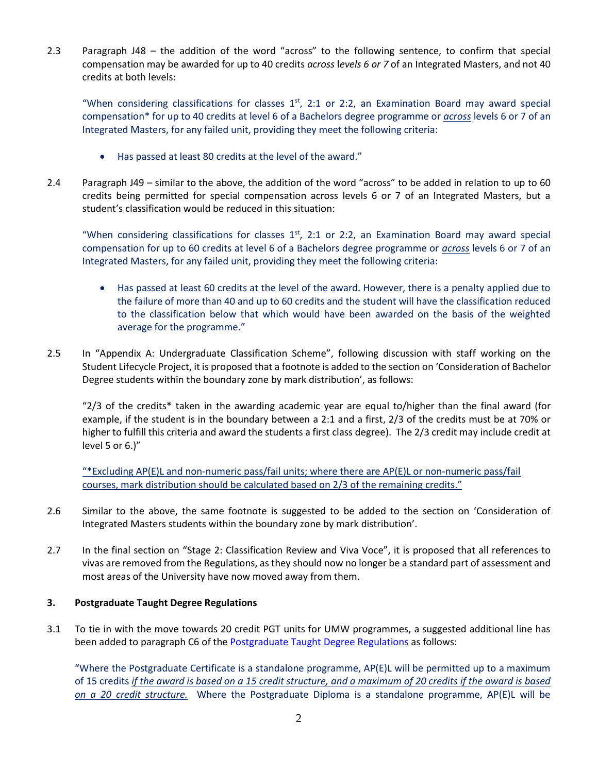2.3 Paragraph J48 – the addition of the word "across" to the following sentence, to confirm that special compensation may be awarded for up to 40 credits *across* l*evels 6 or 7* of an Integrated Masters, and not 40 credits at both levels:

"When considering classifications for classes  $1<sup>st</sup>$ , 2:1 or 2:2, an Examination Board may award special compensation\* for up to 40 credits at level 6 of a Bachelors degree programme or *across* levels 6 or 7 of an Integrated Masters, for any failed unit, providing they meet the following criteria:

- Has passed at least 80 credits at the level of the award."
- 2.4 Paragraph J49 similar to the above, the addition of the word "across" to be added in relation to up to 60 credits being permitted for special compensation across levels 6 or 7 of an Integrated Masters, but a student's classification would be reduced in this situation:

"When considering classifications for classes  $1<sup>st</sup>$ , 2:1 or 2:2, an Examination Board may award special compensation for up to 60 credits at level 6 of a Bachelors degree programme or *across* levels 6 or 7 of an Integrated Masters, for any failed unit, providing they meet the following criteria:

- Has passed at least 60 credits at the level of the award. However, there is a penalty applied due to the failure of more than 40 and up to 60 credits and the student will have the classification reduced to the classification below that which would have been awarded on the basis of the weighted average for the programme."
- 2.5 In "Appendix A: Undergraduate Classification Scheme", following discussion with staff working on the Student Lifecycle Project, it is proposed that a footnote is added to the section on 'Consideration of Bachelor Degree students within the boundary zone by mark distribution', as follows:

"2/3 of the credits\* taken in the awarding academic year are equal to/higher than the final award (for example, if the student is in the boundary between a 2:1 and a first, 2/3 of the credits must be at 70% or higher to fulfill this criteria and award the students a first class degree). The 2/3 credit may include credit at level 5 or 6.)"

"\*Excluding AP(E)L and non-numeric pass/fail units; where there are AP(E)L or non-numeric pass/fail courses, mark distribution should be calculated based on 2/3 of the remaining credits."

- 2.6 Similar to the above, the same footnote is suggested to be added to the section on 'Consideration of Integrated Masters students within the boundary zone by mark distribution'.
- 2.7 In the final section on "Stage 2: Classification Review and Viva Voce", it is proposed that all references to vivas are removed from the Regulations, as they should now no longer be a standard part of assessment and most areas of the University have now moved away from them.

### **3. Postgraduate Taught Degree Regulations**

3.1 To tie in with the move towards 20 credit PGT units for UMW programmes, a suggested additional line has been added to paragraph C6 of th[e Postgraduate Taught Degree Regulations](http://documents.manchester.ac.uk/display.aspx?DocID=29208) as follows:

"Where the Postgraduate Certificate is a standalone programme, AP(E)L will be permitted up to a maximum of 15 credits *if the award is based on a 15 credit structure, and a maximum of 20 credits if the award is based on a 20 credit structure.* Where the Postgraduate Diploma is a standalone programme, AP(E)L will be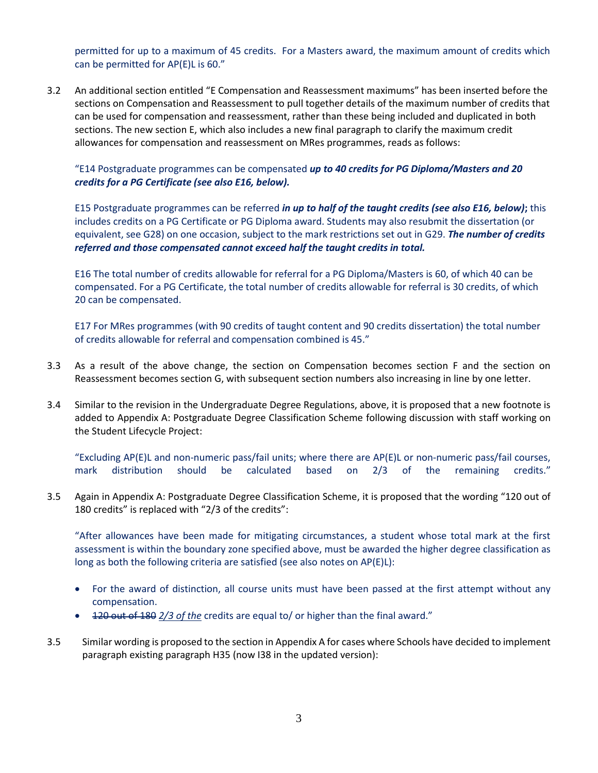permitted for up to a maximum of 45 credits. For a Masters award, the maximum amount of credits which can be permitted for AP(E)L is 60."

3.2 An additional section entitled "E Compensation and Reassessment maximums" has been inserted before the sections on Compensation and Reassessment to pull together details of the maximum number of credits that can be used for compensation and reassessment, rather than these being included and duplicated in both sections. The new section E, which also includes a new final paragraph to clarify the maximum credit allowances for compensation and reassessment on MRes programmes, reads as follows:

# "E14 Postgraduate programmes can be compensated *up to 40 credits for PG Diploma/Masters and 20 credits for a PG Certificate (see also E16, below).*

E15 Postgraduate programmes can be referred *in up to half of the taught credits (see also E16, below)***;** this includes credits on a PG Certificate or PG Diploma award. Students may also resubmit the dissertation (or equivalent, see G28) on one occasion, subject to the mark restrictions set out in G29. *The number of credits referred and those compensated cannot exceed half the taught credits in total.*

E16 The total number of credits allowable for referral for a PG Diploma/Masters is 60, of which 40 can be compensated. For a PG Certificate, the total number of credits allowable for referral is 30 credits, of which 20 can be compensated.

E17 For MRes programmes (with 90 credits of taught content and 90 credits dissertation) the total number of credits allowable for referral and compensation combined is 45."

- 3.3 As a result of the above change, the section on Compensation becomes section F and the section on Reassessment becomes section G, with subsequent section numbers also increasing in line by one letter.
- 3.4 Similar to the revision in the Undergraduate Degree Regulations, above, it is proposed that a new footnote is added to Appendix A: Postgraduate Degree Classification Scheme following discussion with staff working on the Student Lifecycle Project:

"Excluding AP(E)L and non-numeric pass/fail units; where there are AP(E)L or non-numeric pass/fail courses, mark distribution should be calculated based on 2/3 of the remaining credits."

3.5 Again in Appendix A: Postgraduate Degree Classification Scheme, it is proposed that the wording "120 out of 180 credits" is replaced with "2/3 of the credits":

"After allowances have been made for mitigating circumstances, a student whose total mark at the first assessment is within the boundary zone specified above, must be awarded the higher degree classification as long as both the following criteria are satisfied (see also notes on AP(E)L):

- For the award of distinction, all course units must have been passed at the first attempt without any compensation.
- 120 out of 180 *2/3 of the* credits are equal to/ or higher than the final award."
- 3.5 Similar wording is proposed to the section in Appendix A for cases where Schools have decided to implement paragraph existing paragraph H35 (now I38 in the updated version):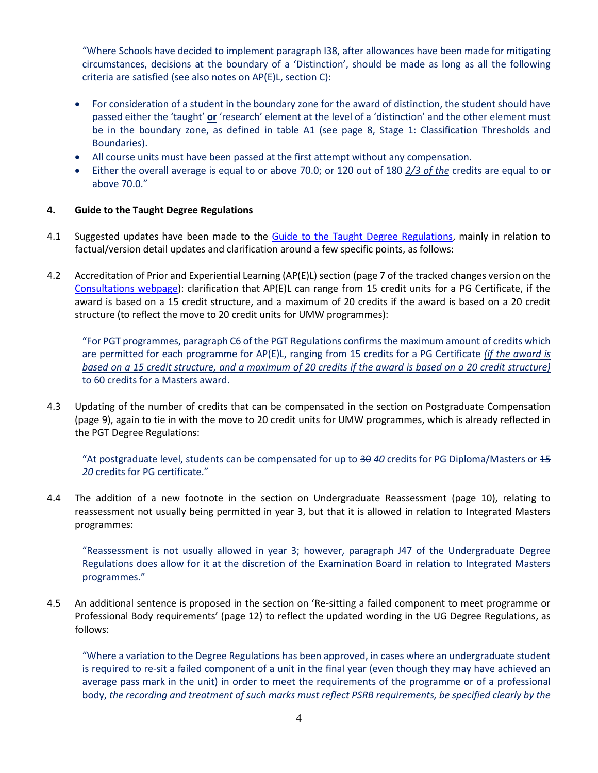"Where Schools have decided to implement paragraph I38, after allowances have been made for mitigating circumstances, decisions at the boundary of a 'Distinction', should be made as long as all the following criteria are satisfied (see also notes on AP(E)L, section C):

- For consideration of a student in the boundary zone for the award of distinction, the student should have passed either the 'taught' **or** 'research' element at the level of a 'distinction' and the other element must be in the boundary zone, as defined in table A1 (see page 8, Stage 1: Classification Thresholds and Boundaries).
- All course units must have been passed at the first attempt without any compensation.
- Either the overall average is equal to or above 70.0; or 120 out of 180 *2/3 of the* credits are equal to or above 70.0."

#### **4. Guide to the Taught Degree Regulations**

- 4.1 Suggested updates have been made to the [Guide to the Taught Degree Regulations,](http://documents.manchester.ac.uk/display.aspx?DocID=13144) mainly in relation to factual/version detail updates and clarification around a few specific points, as follows:
- 4.2 Accreditation of Prior and Experiential Learning (AP(E)L) section (page 7 of the tracked changes version on the [Consultations webpage\)](https://www.staffnet.manchester.ac.uk/tlso/news/consultations/): clarification that AP(E)L can range from 15 credit units for a PG Certificate, if the award is based on a 15 credit structure, and a maximum of 20 credits if the award is based on a 20 credit structure (to reflect the move to 20 credit units for UMW programmes):

"For PGT programmes, paragraph C6 of the PGT Regulations confirms the maximum amount of credits which are permitted for each programme for AP(E)L, ranging from 15 credits for a PG Certificate *(if the award is based on a 15 credit structure, and a maximum of 20 credits if the award is based on a 20 credit structure)* to 60 credits for a Masters award.

4.3 Updating of the number of credits that can be compensated in the section on Postgraduate Compensation (page 9), again to tie in with the move to 20 credit units for UMW programmes, which is already reflected in the PGT Degree Regulations:

"At postgraduate level, students can be compensated for up to  $\frac{30}{20}$  credits for PG Diploma/Masters or  $\frac{45}{20}$ *20* credits for PG certificate."

4.4 The addition of a new footnote in the section on Undergraduate Reassessment (page 10), relating to reassessment not usually being permitted in year 3, but that it is allowed in relation to Integrated Masters programmes:

"Reassessment is not usually allowed in year 3; however, paragraph J47 of the Undergraduate Degree Regulations does allow for it at the discretion of the Examination Board in relation to Integrated Masters programmes."

4.5 An additional sentence is proposed in the section on 'Re-sitting a failed component to meet programme or Professional Body requirements' (page 12) to reflect the updated wording in the UG Degree Regulations, as follows:

"Where a variation to the Degree Regulations has been approved, in cases where an undergraduate student is required to re-sit a failed component of a unit in the final year (even though they may have achieved an average pass mark in the unit) in order to meet the requirements of the programme or of a professional body, *the recording and treatment of such marks must reflect PSRB requirements, be specified clearly by the*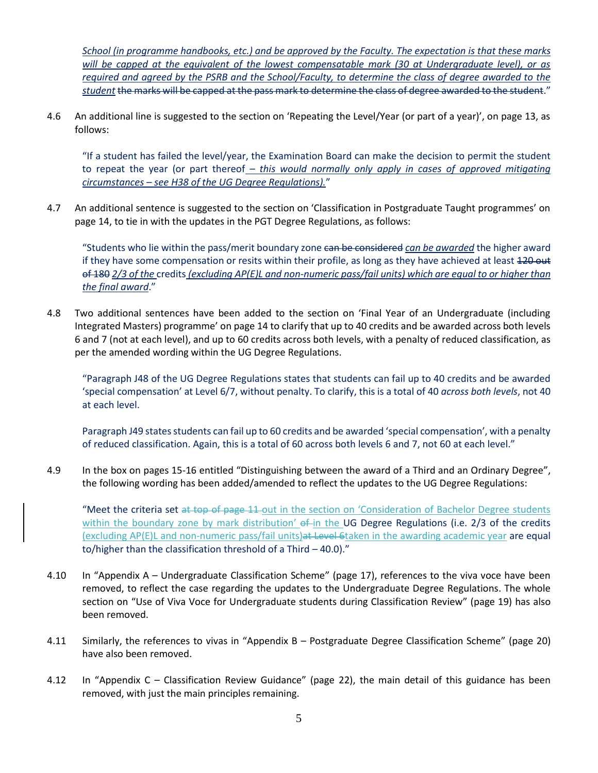*School (in programme handbooks, etc.) and be approved by the Faculty. The expectation is that these marks will be capped at the equivalent of the lowest compensatable mark (30 at Undergraduate level), or as required and agreed by the PSRB and the School/Faculty, to determine the class of degree awarded to the student* the marks will be capped at the pass mark to determine the class of degree awarded to the student."

4.6 An additional line is suggested to the section on 'Repeating the Level/Year (or part of a year)', on page 13, as follows:

"If a student has failed the level/year, the Examination Board can make the decision to permit the student to repeat the year (or part thereof *– this would normally only apply in cases of approved mitigating circumstances – see H38 of the UG Degree Regulations).*"

4.7 An additional sentence is suggested to the section on 'Classification in Postgraduate Taught programmes' on page 14, to tie in with the updates in the PGT Degree Regulations, as follows:

"Students who lie within the pass/merit boundary zone can be considered *can be awarded* the higher award if they have some compensation or resits within their profile, as long as they have achieved at least 420 out of 180 *2/3 of the* credits *(excluding AP(E)L and non-numeric pass/fail units) which are equal to or higher than the final award*."

4.8 Two additional sentences have been added to the section on 'Final Year of an Undergraduate (including Integrated Masters) programme' on page 14 to clarify that up to 40 credits and be awarded across both levels 6 and 7 (not at each level), and up to 60 credits across both levels, with a penalty of reduced classification, as per the amended wording within the UG Degree Regulations.

"Paragraph J48 of the UG Degree Regulations states that students can fail up to 40 credits and be awarded 'special compensation' at Level 6/7, without penalty. To clarify, this is a total of 40 *across both levels*, not 40 at each level.

Paragraph J49 states students can fail up to 60 credits and be awarded 'special compensation', with a penalty of reduced classification. Again, this is a total of 60 across both levels 6 and 7, not 60 at each level."

4.9 In the box on pages 15-16 entitled "Distinguishing between the award of a Third and an Ordinary Degree", the following wording has been added/amended to reflect the updates to the UG Degree Regulations:

"Meet the criteria set at top of page 11 out in the section on 'Consideration of Bachelor Degree students within the boundary zone by mark distribution' of in the UG Degree Regulations (i.e. 2/3 of the credits (excluding AP(E)L and non-numeric pass/fail units)at Level 6taken in the awarding academic year are equal to/higher than the classification threshold of a Third – 40.0)."

- 4.10 In "Appendix A Undergraduate Classification Scheme" (page 17), references to the viva voce have been removed, to reflect the case regarding the updates to the Undergraduate Degree Regulations. The whole section on "Use of Viva Voce for Undergraduate students during Classification Review" (page 19) has also been removed.
- 4.11 Similarly, the references to vivas in "Appendix B Postgraduate Degree Classification Scheme" (page 20) have also been removed.
- 4.12 In "Appendix C Classification Review Guidance" (page 22), the main detail of this guidance has been removed, with just the main principles remaining.